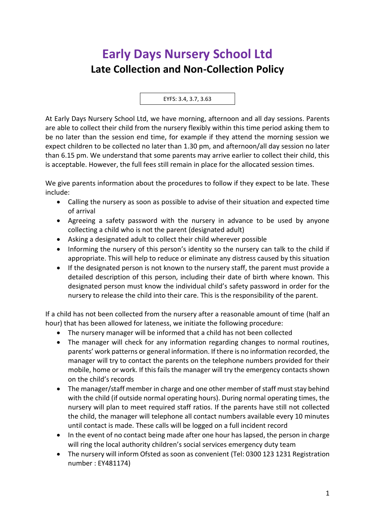## **Early Days Nursery School Ltd Late Collection and Non-Collection Policy**

EYFS: 3.4, 3.7, 3.63

At Early Days Nursery School Ltd, we have morning, afternoon and all day sessions. Parents are able to collect their child from the nursery flexibly within this time period asking them to be no later than the session end time, for example if they attend the morning session we expect children to be collected no later than 1.30 pm, and afternoon/all day session no later than 6.15 pm. We understand that some parents may arrive earlier to collect their child, this is acceptable. However, the full fees still remain in place for the allocated session times.

We give parents information about the procedures to follow if they expect to be late. These include:

- Calling the nursery as soon as possible to advise of their situation and expected time of arrival
- Agreeing a safety password with the nursery in advance to be used by anyone collecting a child who is not the parent (designated adult)
- Asking a designated adult to collect their child wherever possible
- Informing the nursery of this person's identity so the nursery can talk to the child if appropriate. This will help to reduce or eliminate any distress caused by this situation
- If the designated person is not known to the nursery staff, the parent must provide a detailed description of this person, including their date of birth where known. This designated person must know the individual child's safety password in order for the nursery to release the child into their care. This is the responsibility of the parent.

If a child has not been collected from the nursery after a reasonable amount of time (half an hour) that has been allowed for lateness, we initiate the following procedure:

- The nursery manager will be informed that a child has not been collected
- The manager will check for any information regarding changes to normal routines, parents' work patterns or general information. If there is no information recorded, the manager will try to contact the parents on the telephone numbers provided for their mobile, home or work. If this fails the manager will try the emergency contacts shown on the child's records
- The manager/staff member in charge and one other member of staff must stay behind with the child (if outside normal operating hours). During normal operating times, the nursery will plan to meet required staff ratios. If the parents have still not collected the child, the manager will telephone all contact numbers available every 10 minutes until contact is made. These calls will be logged on a full incident record
- In the event of no contact being made after one hour has lapsed, the person in charge will ring the local authority children's social services emergency duty team
- The nursery will inform Ofsted as soon as convenient (Tel: 0300 123 1231 Registration number : EY481174)